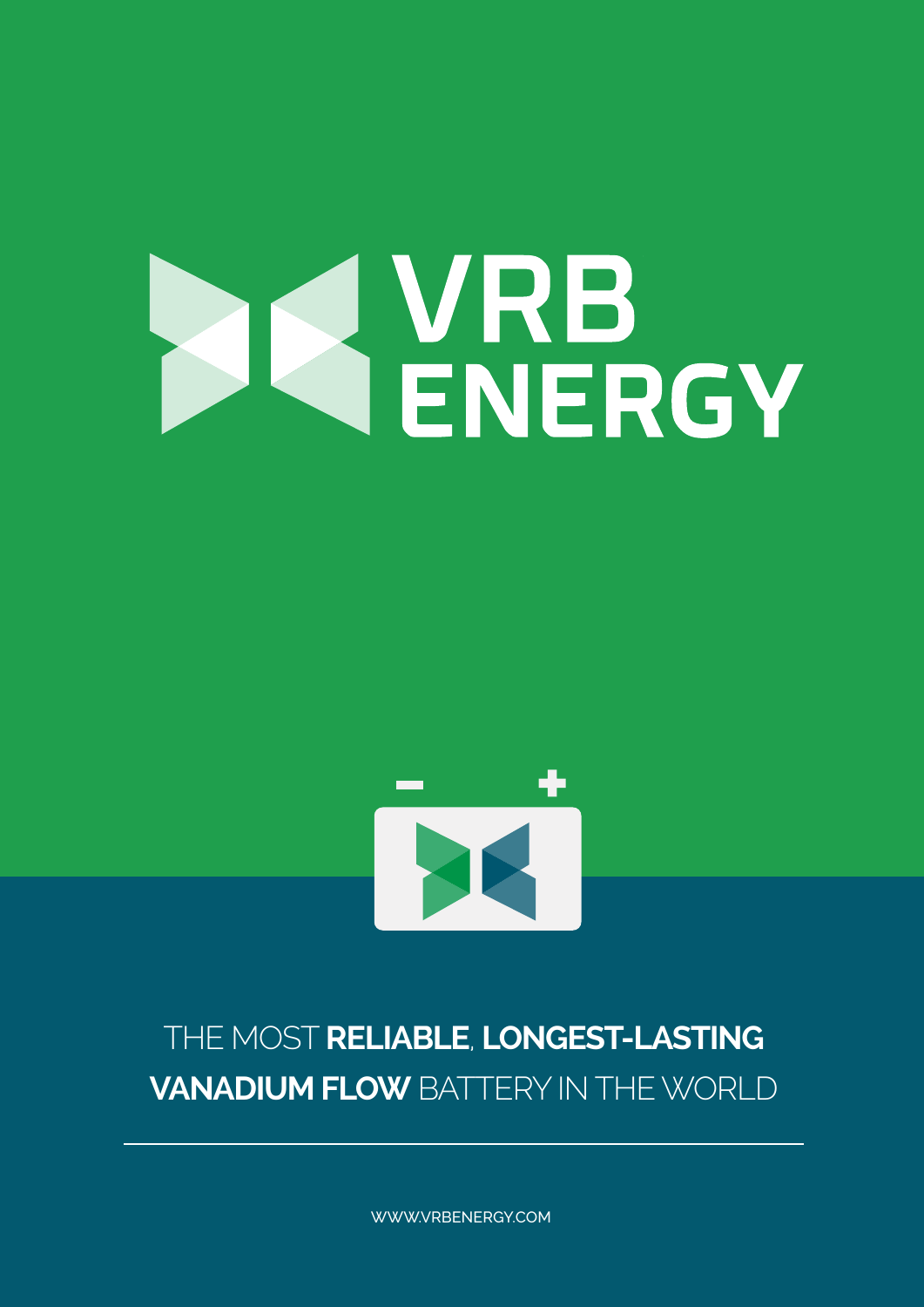# IQ VRB<br>ENERGY



# THE MOST **RELIABLE**, **LONGEST-LASTING VANADIUM FLOW** BATTERY IN THE WORLD

WWW.VRBENERGY.COM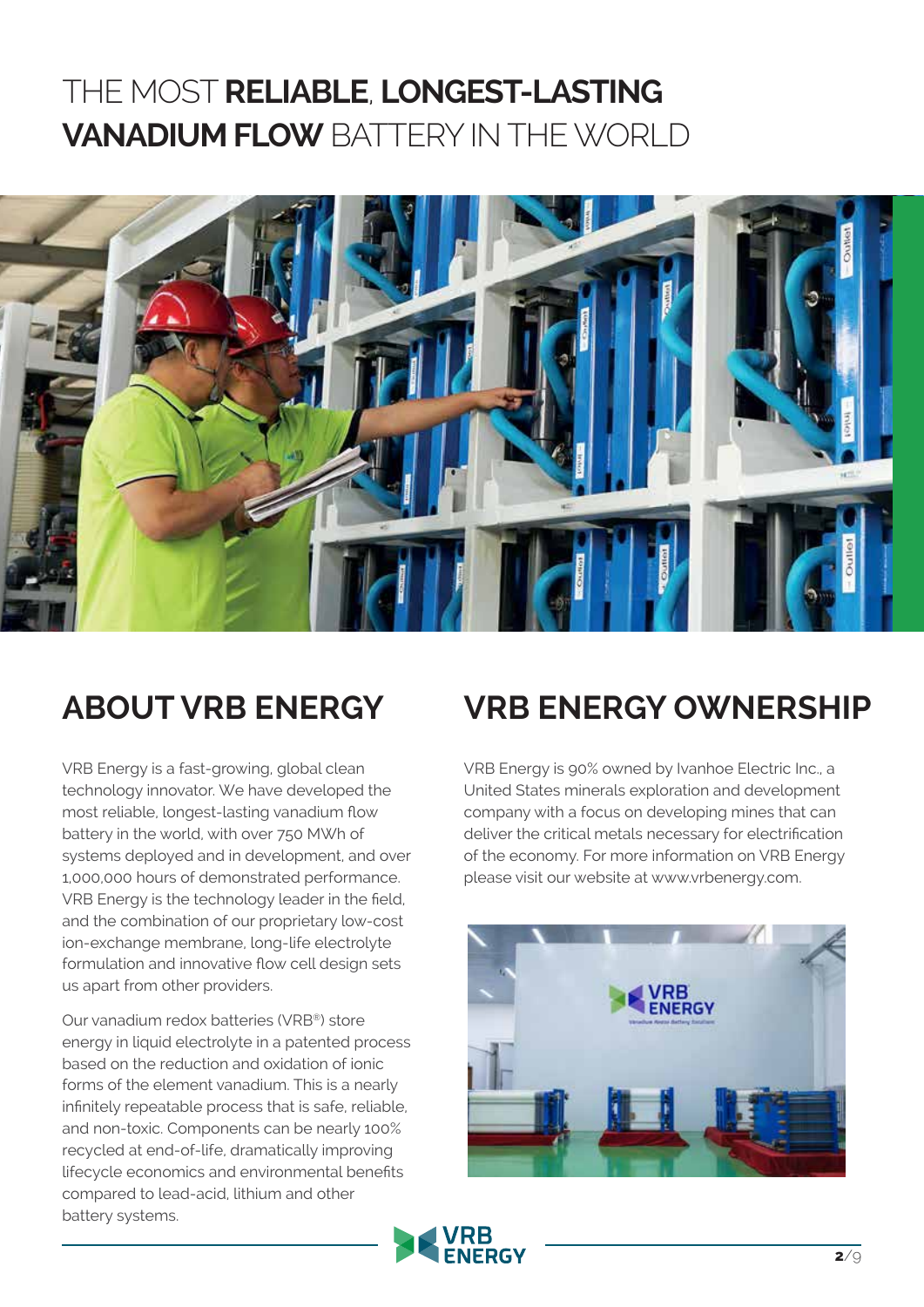## THE MOST **RELIABLE**, **LONGEST-LASTING VANADIUM FLOW** BATTERY IN THE WORLD



## **ABOUT VRB ENERGY**

VRB Energy is a fast-growing, global clean technology innovator. We have developed the most reliable, longest-lasting vanadium flow battery in the world, with over 750 MWh of systems deployed and in development, and over 1,000,000 hours of demonstrated performance. VRB Energy is the technology leader in the field, and the combination of our proprietary low-cost ion-exchange membrane, long-life electrolyte formulation and innovative flow cell design sets us apart from other providers.

Our vanadium redox batteries (VRB®) store energy in liquid electrolyte in a patented process based on the reduction and oxidation of ionic forms of the element vanadium. This is a nearly infinitely repeatable process that is safe, reliable, and non-toxic. Components can be nearly 100% recycled at end-of-life, dramatically improving lifecycle economics and environmental benefits compared to lead-acid, lithium and other battery systems.

## **VRB ENERGY OWNERSHIP**

VRB Energy is 90% owned by Ivanhoe Electric Inc., a United States minerals exploration and development company with a focus on developing mines that can deliver the critical metals necessary for electrification of the economy. For more information on VRB Energy please visit our website at www.vrbenergy.com.



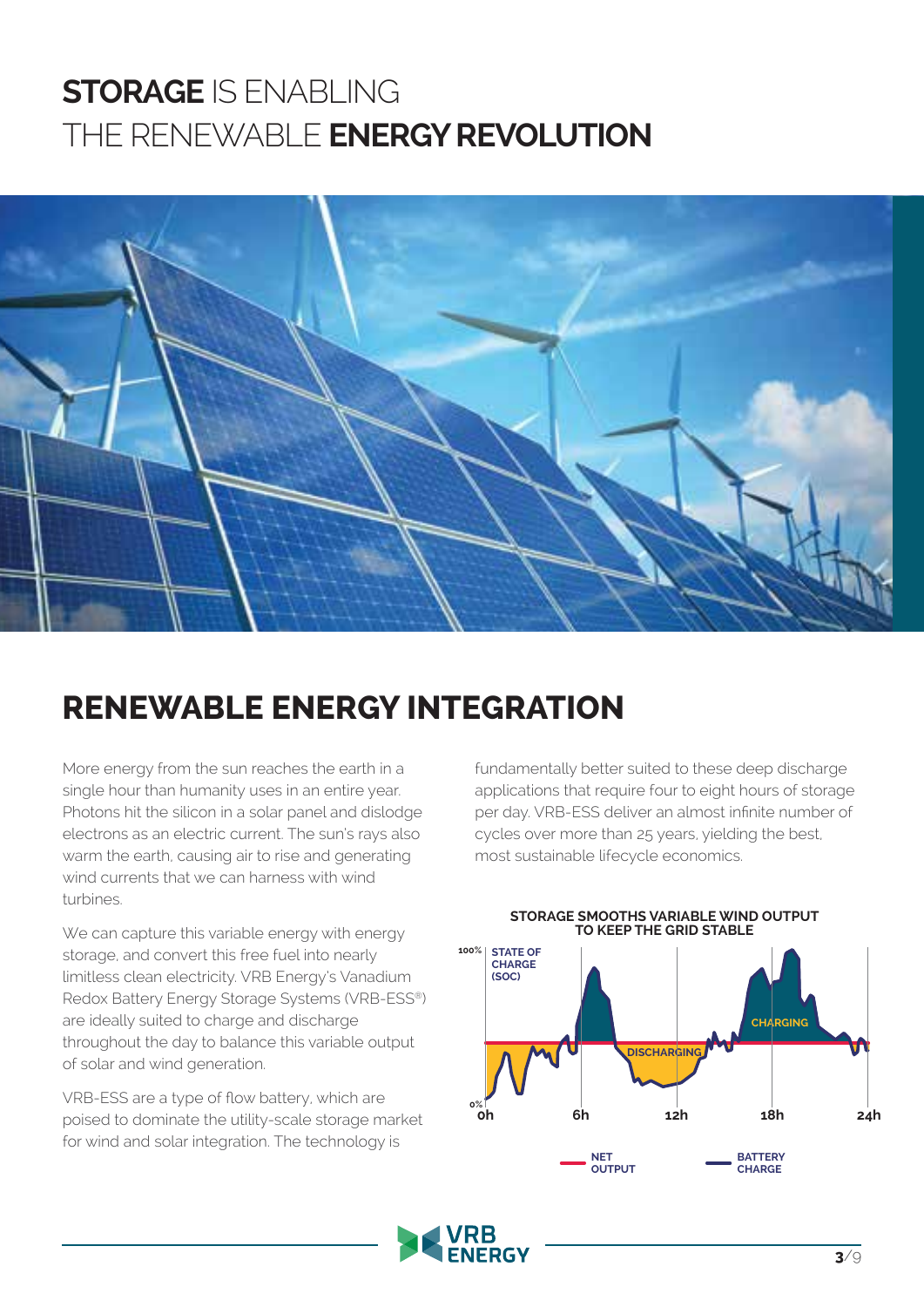# **STORAGE** IS ENABLING THE RENEWABLE **ENERGY REVOLUTION**



## **RENEWABLE ENERGY INTEGRATION**

More energy from the sun reaches the earth in a single hour than humanity uses in an entire year. Photons hit the silicon in a solar panel and dislodge electrons as an electric current. The sun's rays also warm the earth, causing air to rise and generating wind currents that we can harness with wind turbines.

We can capture this variable energy with energy storage, and convert this free fuel into nearly limitless clean electricity. VRB Energy's Vanadium Redox Battery Energy Storage Systems (VRB-ESS®) are ideally suited to charge and discharge throughout the day to balance this variable output of solar and wind generation.

VRB-ESS are a type of flow battery, which are poised to dominate the utility-scale storage market for wind and solar integration. The technology is

fundamentally better suited to these deep discharge applications that require four to eight hours of storage per day. VRB-ESS deliver an almost infinite number of cycles over more than 25 years, yielding the best, most sustainable lifecycle economics.



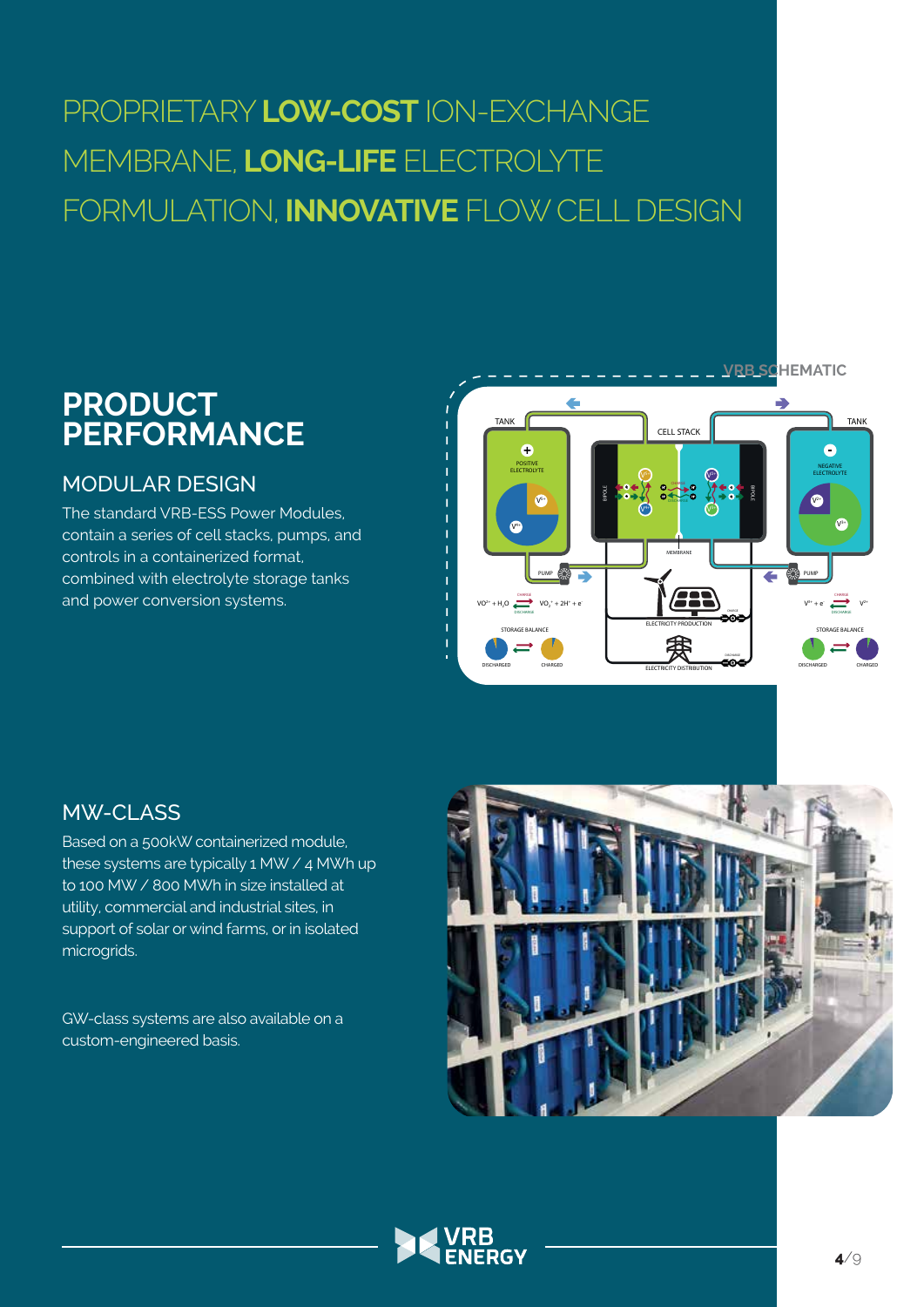# PROPRIETARY **LOW-COST** ION-EXCHANGE MEMBRANE, **LONG-LIFE** ELECTROLYTE FORMULATION, **INNOVATIVE** FLOW CELL DESIGN

## **PRODUCT PERFORMANCE**

#### MODULAR DESIGN

The standard VRB-ESS Power Modules, contain a series of cell stacks, pumps, and controls in a containerized format, combined with electrolyte storage tanks and power conversion systems.



## MW-CLASS

Based on a 500kW containerized module, these systems are typically 1 MW / 4 MWh up to 100 MW / 800 MWh in size installed at utility, commercial and industrial sites, in support of solar or wind farms, or in isolated microgrids.

GW-class systems are also available on a custom-engineered basis.



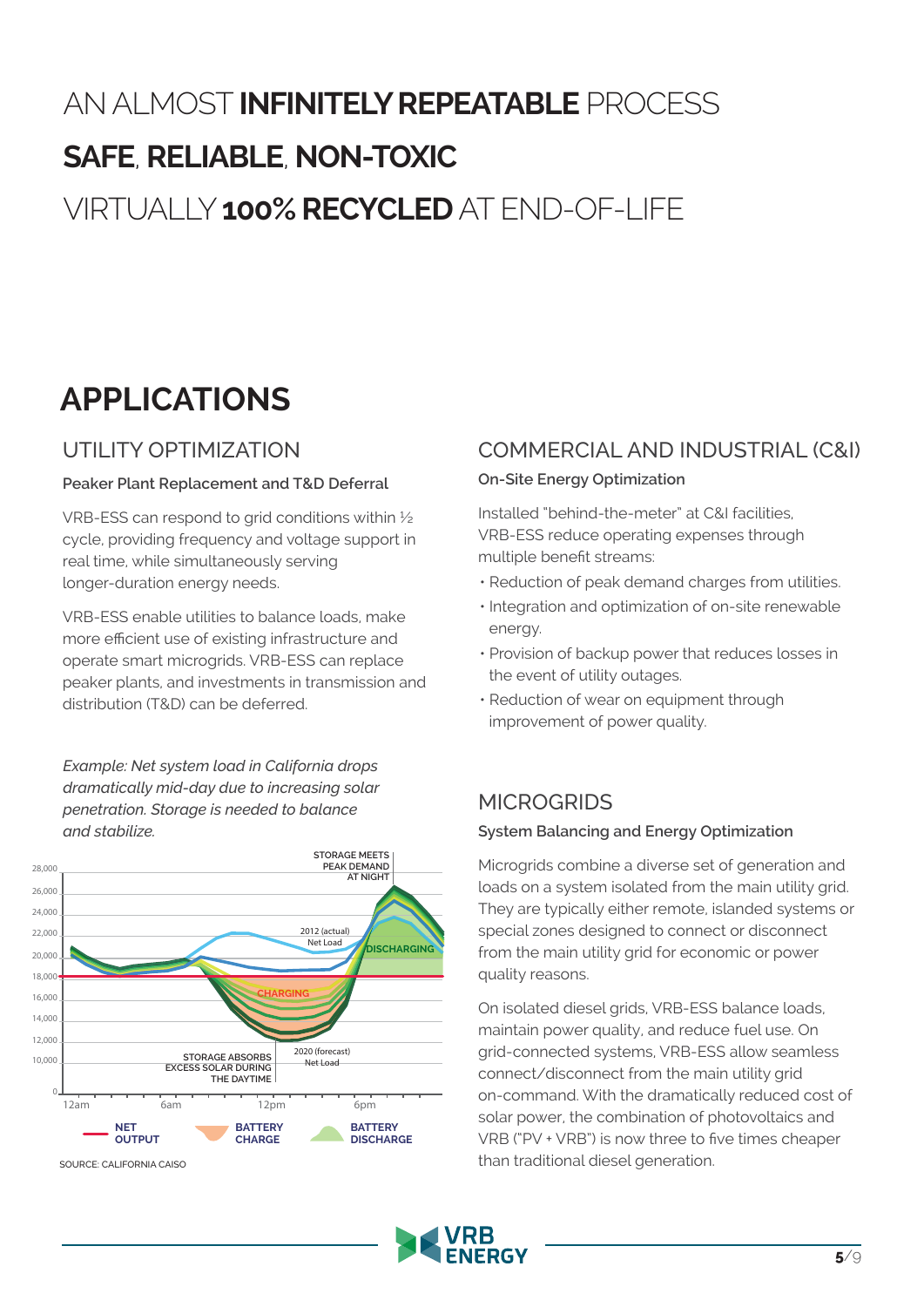# AN ALMOST **INFINITELY REPEATABLE** PROCESS **SAFE**, **RELIABLE**, **NON-TOXIC** VIRTUALLY **100% RECYCLED** AT END-OF-LIFE

# **APPLICATIONS**

## UTILITY OPTIMIZATION

#### **Peaker Plant Replacement and T&D Deferral**

VRB-ESS can respond to grid conditions within ½ cycle, providing frequency and voltage support in real time, while simultaneously serving longer-duration energy needs.

VRB-ESS enable utilities to balance loads, make more efficient use of existing infrastructure and operate smart microgrids. VRB-ESS can replace peaker plants, and investments in transmission and distribution (T&D) can be deferred.

*Example: Net system load in California drops dramatically mid-day due to increasing solar penetration. Storage is needed to balance and stabilize.*



#### COMMERCIAL AND INDUSTRIAL (C&I)

#### **On-Site Energy Optimization**

Installed "behind-the-meter" at C&I facilities, VRB-ESS reduce operating expenses through multiple benefit streams:

- Reduction of peak demand charges from utilities.
- Integration and optimization of on-site renewable energy.
- Provision of backup power that reduces losses in the event of utility outages.
- Reduction of wear on equipment through improvement of power quality.

## **MICROGRIDS**

#### **System Balancing and Energy Optimization**

Microgrids combine a diverse set of generation and loads on a system isolated from the main utility grid. They are typically either remote, islanded systems or special zones designed to connect or disconnect from the main utility grid for economic or power quality reasons.

On isolated diesel grids, VRB-ESS balance loads, maintain power quality, and reduce fuel use. On grid-connected systems, VRB-ESS allow seamless connect/disconnect from the main utility grid on-command. With the dramatically reduced cost of solar power, the combination of photovoltaics and VRB ("PV + VRB") is now three to five times cheaper than traditional diesel generation.

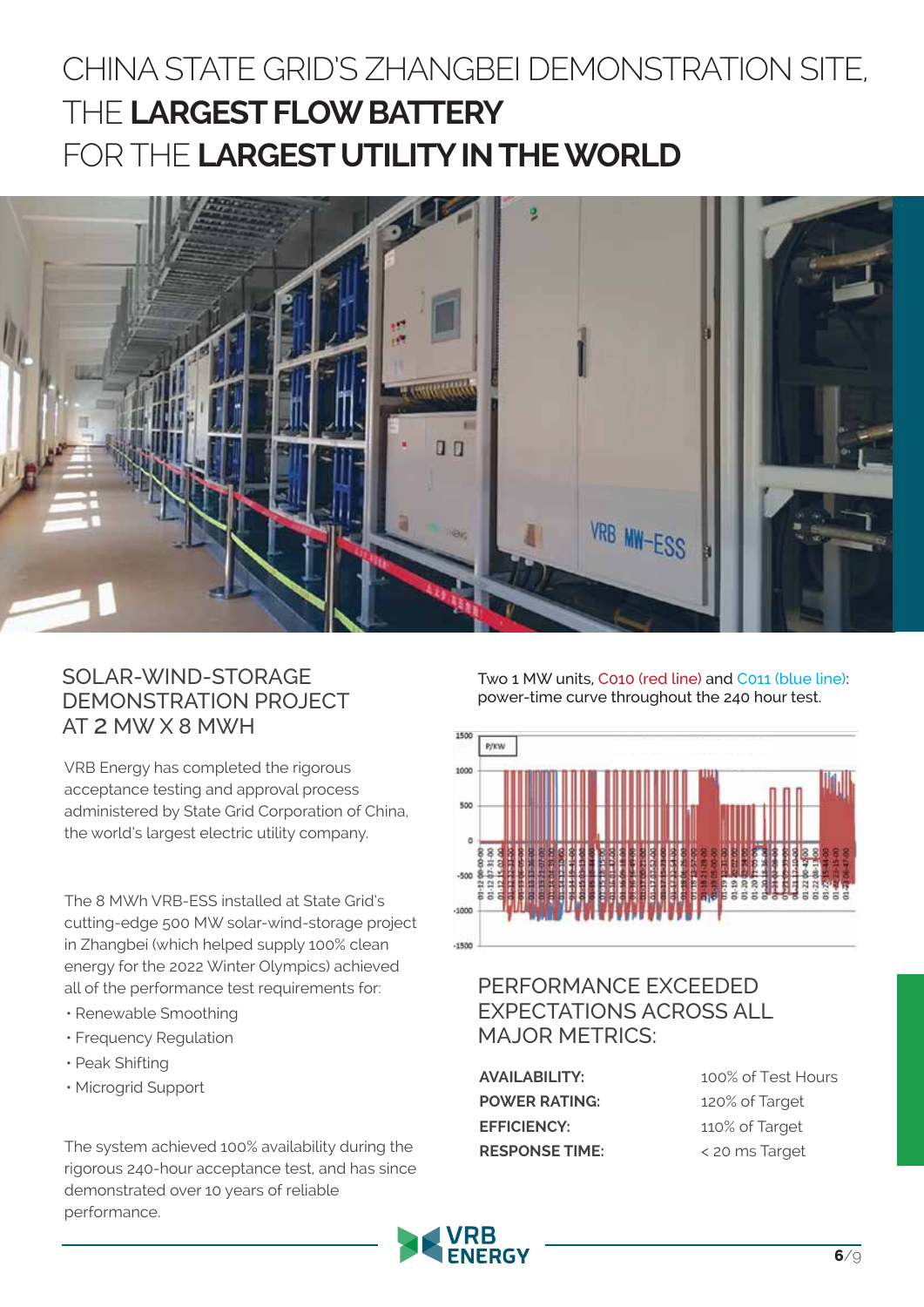# CHINA STATE GRID'S ZHANGBEI DEMONSTRATION SITE, THE **LARGEST FLOW BATTERY** FOR THE **LARGEST UTILITY IN THE WORLD**



#### SOLAR-WIND-STORAGE DEMONSTRATION PROJECT AT 2 MW X 8 MWH

VRB Energy has completed the rigorous acceptance testing and approval process administered by State Grid Corporation of China, the world's largest electric utility company.

The 8 MWh VRB-ESS installed at State Grid's cutting-edge 500 MW solar-wind-storage project in Zhangbei (which helped supply 100% clean energy for the 2022 Winter Olympics) achieved all of the performance test requirements for:

- Renewable Smoothing
- Frequency Regulation
- Peak Shifting
- Microgrid Support

The system achieved 100% availability during the rigorous 240-hour acceptance test, and has since demonstrated over 10 years of reliable performance.

Two 1 MW units, C010 (red line) and C011 (blue line): power-time curve throughout the 240 hour test.



### PERFORMANCE EXCEEDED EXPECTATIONS ACROSS ALL MAJOR METRICS:

**AVAILABILITY:** 100% of Test Hours **POWER RATING:** 120% of Target **EFFICIENCY:** 110% of Target **RESPONSE TIME:** < 20 ms Target

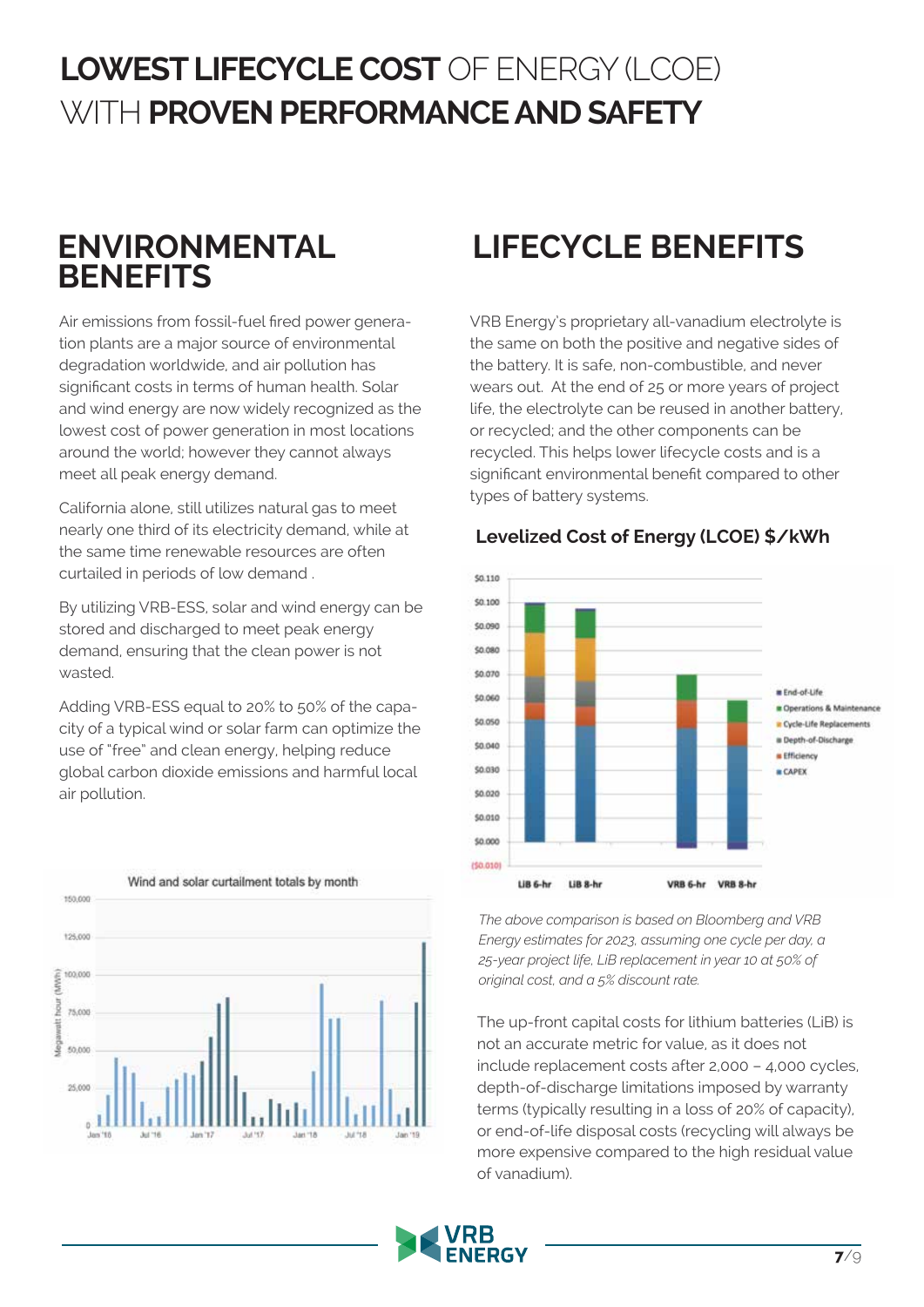# LOWEST LIFECYCLE COST OF ENERGY (LCOE) WITH **PROVEN PERFORMANCE AND SAFETY**

## **ENVIRONMENTAL BENEFITS**

Air emissions from fossil-fuel fired power generation plants are a major source of environmental degradation worldwide, and air pollution has significant costs in terms of human health. Solar and wind energy are now widely recognized as the lowest cost of power generation in most locations around the world; however they cannot always meet all peak energy demand.

California alone, still utilizes natural gas to meet nearly one third of its electricity demand, while at the same time renewable resources are often curtailed in periods of low demand .

By utilizing VRB-ESS, solar and wind energy can be stored and discharged to meet peak energy demand, ensuring that the clean power is not wasted.

Adding VRB-ESS equal to 20% to 50% of the capacity of a typical wind or solar farm can optimize the use of "free" and clean energy, helping reduce global carbon dioxide emissions and harmful local air pollution.



# **LIFECYCLE BENEFITS**

VRB Energy's proprietary all-vanadium electrolyte is the same on both the positive and negative sides of the battery. It is safe, non-combustible, and never wears out. At the end of 25 or more years of project life, the electrolyte can be reused in another battery, or recycled; and the other components can be recycled. This helps lower lifecycle costs and is a significant environmental benefit compared to other types of battery systems.



#### **Levelized Cost of Energy (LCOE) \$/kWh**

*The above comparison is based on Bloomberg and VRB Energy estimates for 2023, assuming one cycle per day, a 25-year project life, LiB replacement in year 10 at 50% of original cost, and a 5% discount rate.*

The up-front capital costs for lithium batteries (LiB) is not an accurate metric for value, as it does not include replacement costs after 2,000 – 4,000 cycles, depth-of-discharge limitations imposed by warranty terms (typically resulting in a loss of 20% of capacity), or end-of-life disposal costs (recycling will always be more expensive compared to the high residual value of vanadium).

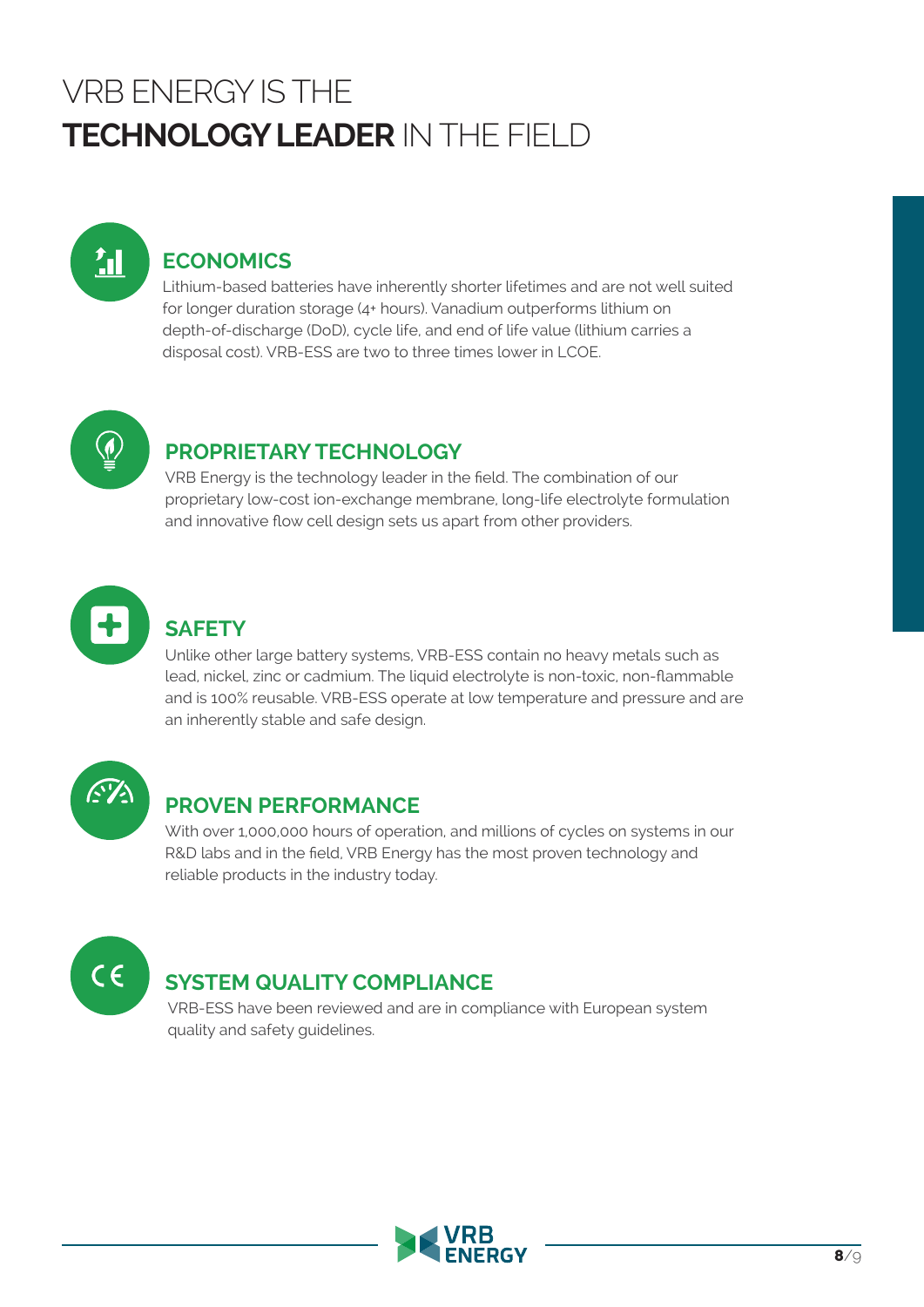# VRB ENERGY IS THE **TECHNOLOGY LEADER** IN THE FIELD



## **ECONOMICS**

Lithium-based batteries have inherently shorter lifetimes and are not well suited for longer duration storage (4+ hours). Vanadium outperforms lithium on depth-of-discharge (DoD), cycle life, and end of life value (lithium carries a disposal cost). VRB-ESS are two to three times lower in LCOE.



## **PROPRIETARY TECHNOLOGY**

VRB Energy is the technology leader in the field. The combination of our proprietary low-cost ion-exchange membrane, long-life electrolyte formulation and innovative flow cell design sets us apart from other providers.



## **SAFETY**

Unlike other large battery systems, VRB-ESS contain no heavy metals such as lead, nickel, zinc or cadmium. The liquid electrolyte is non-toxic, non-flammable and is 100% reusable. VRB-ESS operate at low temperature and pressure and are an inherently stable and safe design.



#### **PROVEN PERFORMANCE**

With over 1,000,000 hours of operation, and millions of cycles on systems in our R&D labs and in the field, VRB Energy has the most proven technology and reliable products in the industry today.



## **SYSTEM QUALITY COMPLIANCE**

VRB-ESS have been reviewed and are in compliance with European system quality and safety guidelines.